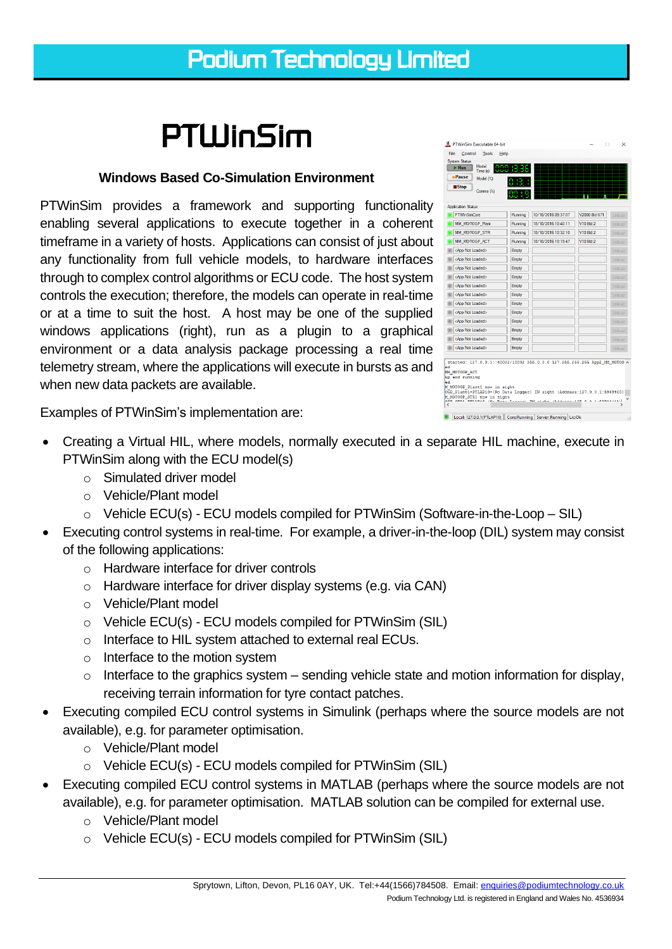## *PTWinSim*

## **Windows Based Co-Simulation Environment**

PTWinSim provides a framework and supporting functionality enabling several applications to execute together in a coherent timeframe in a variety of hosts. Applications can consist of just about any functionality from full vehicle models, to hardware interfaces through to complex control algorithms or ECU code. The host system controls the execution; therefore, the models can operate in real-time or at a time to suit the host. A host may be one of the supplied windows applications (right), run as a plugin to a graphical environment or a data analysis package processing a real time telemetry stream, where the applications will execute in bursts as and when new data packets are available.

PTWinSim Executable 64-bit File Control Tools Help System Status<br>
FRun Model<br>
Trme (s)  $\bullet$  Pause  $\bullet$  Model (%)  $\blacksquare$ Stop Comms  $\binom{v_s}{s}$ **Application Status DETMACING** 10/10/2010 09:27:07 V2000 Blaic7 Running MM\_MOTOGP\_Plant 18/10/2016 10:40:11 V10 Bld-2 **MM MOTOGP STR** Running 18/10/2016 10:32:10 V10 Bld-2 MM\_MOTOGP\_ACT 18/10/2016 10:19:47 V10 Bld:2 Running R CApp Not Loa Empty <App Not Loaded Empty <App Not Loaded Empty **App Not Loader** Empty App Not Loaded: Empty Empty App Not Loaded: <App Not Loader Empty App Not Loaded Empty **App Not Loaded:** Empty App Not Loaded: Empty App Not Loade  $\begin{tabular}{|c|c|c|c|c|c|c|c|c|} \hline & \textbf{def} & \textbf{End} & \textbf{Grup} & \textbf{Hup} & \textbf{Hup} & \textbf{Hup} & \textbf{Hup} & \textbf{Hup} & \textbf{Hup} & \textbf{Hup} & \textbf{Hup} & \textbf{Hup} & \textbf{Hup} & \textbf{Hup} & \textbf{Hup} & \textbf{Hup} & \textbf{Hup} & \textbf{Hup} & \textbf{Hup} & \textbf{Hup} & \textbf{Hup} & \textbf{Hup} & \textbf{Hup} & \textbf{Hup} &$ Empty Local: 127.0.0.1(PTLAP10) | Core:Running | Server: Running Lic:Ok

Examples of PTWinSim's implementation are:

- Creating a Virtual HIL, where models, normally executed in a separate HIL machine, execute in PTWinSim along with the ECU model(s)
	- o Simulated driver model
	- o Vehicle/Plant model
	- $\circ$  Vehicle ECU(s) ECU models compiled for PTWinSim (Software-in-the-Loop SIL)
- Executing control systems in real-time. For example, a driver-in-the-loop (DIL) system may consist of the following applications:
	- o Hardware interface for driver controls
	- o Hardware interface for driver display systems (e.g. via CAN)
	- o Vehicle/Plant model
	- o Vehicle ECU(s) ECU models compiled for PTWinSim (SIL)
	- o Interface to HIL system attached to external real ECUs.
	- $\circ$  Interface to the motion system
	- $\circ$  Interface to the graphics system sending vehicle state and motion information for display, receiving terrain information for tyre contact patches.
- Executing compiled ECU control systems in Simulink (perhaps where the source models are not available), e.g. for parameter optimisation.
	- o Vehicle/Plant model
	- o Vehicle ECU(s) ECU models compiled for PTWinSim (SIL)
- Executing compiled ECU control systems in MATLAB (perhaps where the source models are not available), e.g. for parameter optimisation. MATLAB solution can be compiled for external use.
	- o Vehicle/Plant model
	- o Vehicle ECU(s) ECU models compiled for PTWinSim (SIL)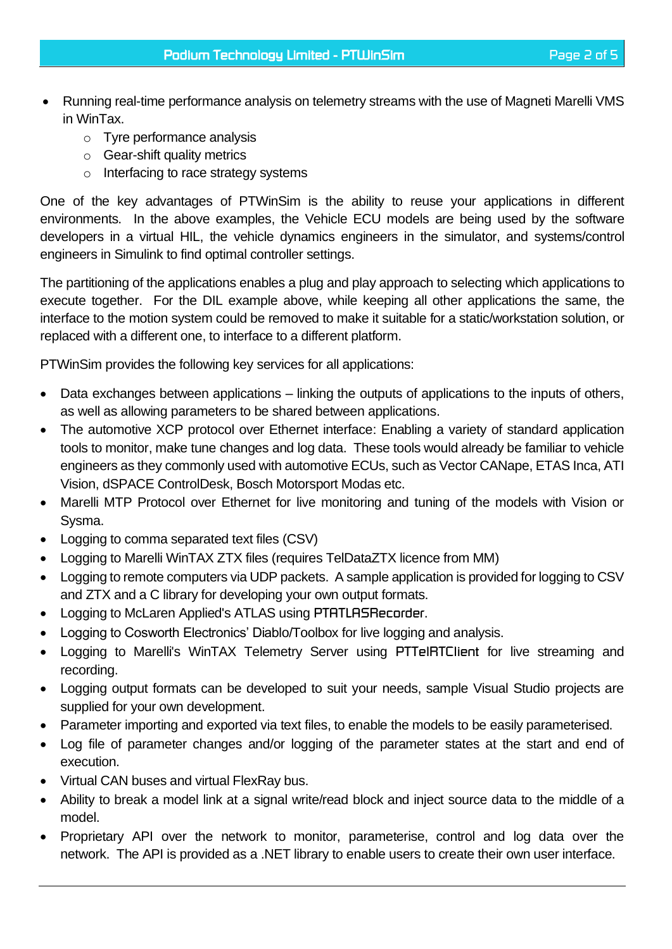- Running real-time performance analysis on telemetry streams with the use of Magneti Marelli VMS in WinTax.
	- o Tyre performance analysis
	- o Gear-shift quality metrics
	- o Interfacing to race strategy systems

One of the key advantages of PTWinSim is the ability to reuse your applications in different environments. In the above examples, the Vehicle ECU models are being used by the software developers in a virtual HIL, the vehicle dynamics engineers in the simulator, and systems/control engineers in Simulink to find optimal controller settings.

The partitioning of the applications enables a plug and play approach to selecting which applications to execute together. For the DIL example above, while keeping all other applications the same, the interface to the motion system could be removed to make it suitable for a static/workstation solution, or replaced with a different one, to interface to a different platform.

PTWinSim provides the following key services for all applications:

- Data exchanges between applications linking the outputs of applications to the inputs of others, as well as allowing parameters to be shared between applications.
- The automotive XCP protocol over Ethernet interface: Enabling a variety of standard application tools to monitor, make tune changes and log data. These tools would already be familiar to vehicle engineers as they commonly used with automotive ECUs, such as Vector CANape, ETAS Inca, ATI Vision, dSPACE ControlDesk, Bosch Motorsport Modas etc.
- Marelli MTP Protocol over Ethernet for live monitoring and tuning of the models with Vision or Sysma.
- Logging to comma separated text files (CSV)
- Logging to Marelli WinTAX ZTX files (requires TelDataZTX licence from MM)
- Logging to remote computers via UDP packets. A sample application is provided for logging to CSV and ZTX and a C library for developing your own output formats.
- Logging to McLaren Applied's ATLAS using *PTATLASRecorder*.
- Logging to Cosworth Electronics' Diablo/Toolbox for live logging and analysis.
- Logging to Marelli's WinTAX Telemetry Server using *PTTelRTClient* for live streaming and recording.
- Logging output formats can be developed to suit your needs, sample Visual Studio projects are supplied for your own development.
- Parameter importing and exported via text files, to enable the models to be easily parameterised.
- Log file of parameter changes and/or logging of the parameter states at the start and end of execution.
- Virtual CAN buses and virtual FlexRay bus.
- Ability to break a model link at a signal write/read block and inject source data to the middle of a model.
- Proprietary API over the network to monitor, parameterise, control and log data over the network. The API is provided as a .NET library to enable users to create their own user interface.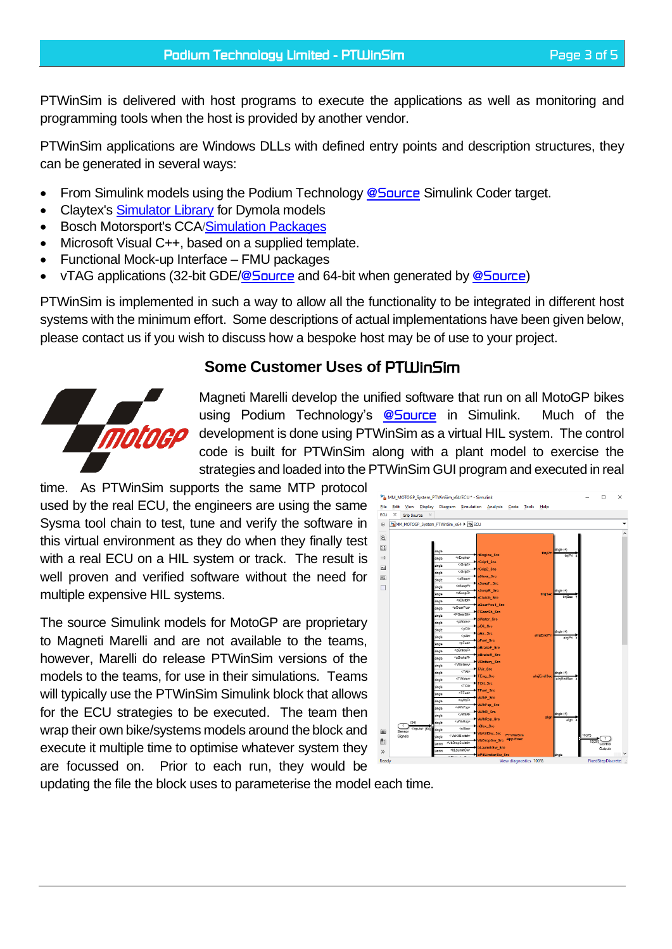PTWinSim is delivered with host programs to execute the applications as well as monitoring and programming tools when the host is provided by another vendor.

PTWinSim applications are Windows DLLs with defined entry points and description structures, they can be generated in several ways:

- From Simulink models using the Podium Technology *[@Source](http://podiumtechnology.co.uk/@source.html)* Simulink Coder target.
- Claytex's [Simulator Library](http://www.claytex.com/products/dymola/model-libraries/simulator-library/) for Dymola models
- Bosch Motorsport's CCA/[Simulation Packages](https://www.bosch-motorsport.com/content/downloads/Raceparts/en-GB/173735179200882059.html)
- Microsoft Visual C++, based on a supplied template.
- Functional Mock-up Interface FMU packages
- vTAG applications (32-bit GDE/*[@Source](http://podiumtechnology.co.uk/@source.html)* and 64-bit when generated by *[@Source](http://podiumtechnology.co.uk/@source.html)*)

PTWinSim is implemented in such a way to allow all the functionality to be integrated in different host systems with the minimum effort. Some descriptions of actual implementations have been given below, please contact us if you wish to discuss how a bespoke host may be of use to your project.

## **Some Customer Uses of** *PTWinSim*



Magneti Marelli develop the unified software that run on all MotoGP bikes using Podium Technology's *[@Source](http://podiumtechnology.co.uk/@source.html)* in Simulink. Much of the development is done using PTWinSim as a virtual HIL system. The control code is built for PTWinSim along with a plant model to exercise the strategies and loaded into the PTWinSim GUI program and executed in real

time. As PTWinSim supports the same MTP protocol used by the real ECU, the engineers are using the same Sysma tool chain to test, tune and verify the software in this virtual environment as they do when they finally test with a real ECU on a HIL system or track. The result is well proven and verified software without the need for multiple expensive HIL systems.

The source Simulink models for MotoGP are proprietary to Magneti Marelli and are not available to the teams, however, Marelli do release PTWinSim versions of the models to the teams, for use in their simulations. Teams will typically use the PTWinSim Simulink block that allows for the ECU strategies to be executed. The team then wrap their own bike/systems models around the block and execute it multiple time to optimise whatever system they are focussed on. Prior to each run, they would be



updating the file the block uses to parameterise the model each time.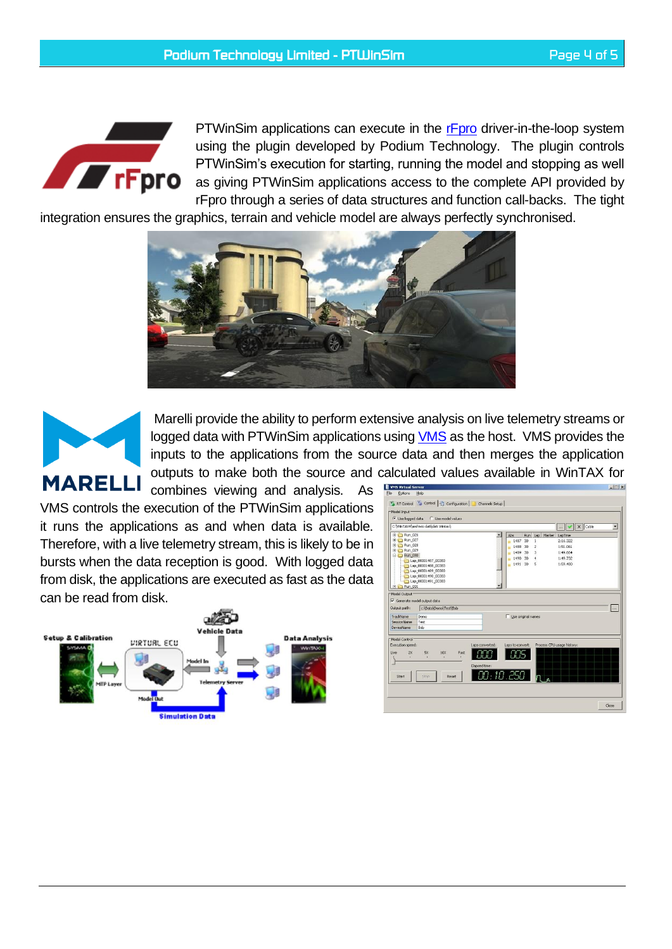

PTWinSim applications can execute in the **F**pro driver-in-the-loop system using the plugin developed by Podium Technology. The plugin controls PTWinSim's execution for starting, running the model and stopping as well as giving PTWinSim applications access to the complete API provided by rFpro through a series of data structures and function call-backs. The tight

integration ensures the graphics, terrain and vehicle model are always perfectly synchronised.





Marelli provide the ability to perform extensive analysis on live telemetry streams or logged data with PTWinSim applications using [VMS](http://www.magnetimarelli.com/business_areas/motorsport/software/vms-ecu-virtualisation) as the host. VMS provides the inputs to the applications from the source data and then merges the application outputs to make both the source and calculated values available in WinTAX for

combines viewing and analysis. As VMS controls the execution of the PTWinSim applications it runs the applications as and when data is available. Therefore, with a live telemetry stream, this is likely to be in bursts when the data reception is good. With logged data from disk, the applications are executed as fast as the data can be read from disk.



|                                                                                             | C: WinTAX4\archivio dati\dati Wintax\                                                                       | $\mathbf{v}$                                                                                                                                                                                              | $\times$ Cable<br>٠ |
|---------------------------------------------------------------------------------------------|-------------------------------------------------------------------------------------------------------------|-----------------------------------------------------------------------------------------------------------------------------------------------------------------------------------------------------------|---------------------|
| El Run 026<br>El-1 Run 027<br>El-C Run_028<br>田 Run_029<br>El 2 Run 030                     | Lap. 00001487_00383<br>Lap 00001488 00383<br>Lap 00001489 00383<br>Lap_00001490_00383<br>Lap 00001491_00383 | Run<br>Lap Marker LapTime<br>Abs<br>2:16.322<br>1487 30<br>$\mathbf{1}$<br>m<br>1488 30<br>$\overline{c}$<br>1:51.061<br>1489 30<br>3<br>1:49.664<br>1490 30<br>1:49.732<br>4<br>1491 30<br>s<br>1:59.480 |                     |
| <b>El Run</b> 031<br>Model Output<br>Output path:<br>TrackName<br>SessionName<br>DeviceName | Generate model output data<br>c:\Data\Demo\Test\Bob<br>Demo<br>Test<br>Bob                                  | <b>Lise original names</b>                                                                                                                                                                                | $\sim$              |
| -Model Control-<br>Execution speed:<br>Live<br>2X                                           | Laps converted:<br>5X<br>10K<br>Fast<br>Elapsed time:<br>Stop.<br>Reset                                     | Process CPU usage history:<br>Laps to convert:<br>00:10.250                                                                                                                                               |                     |